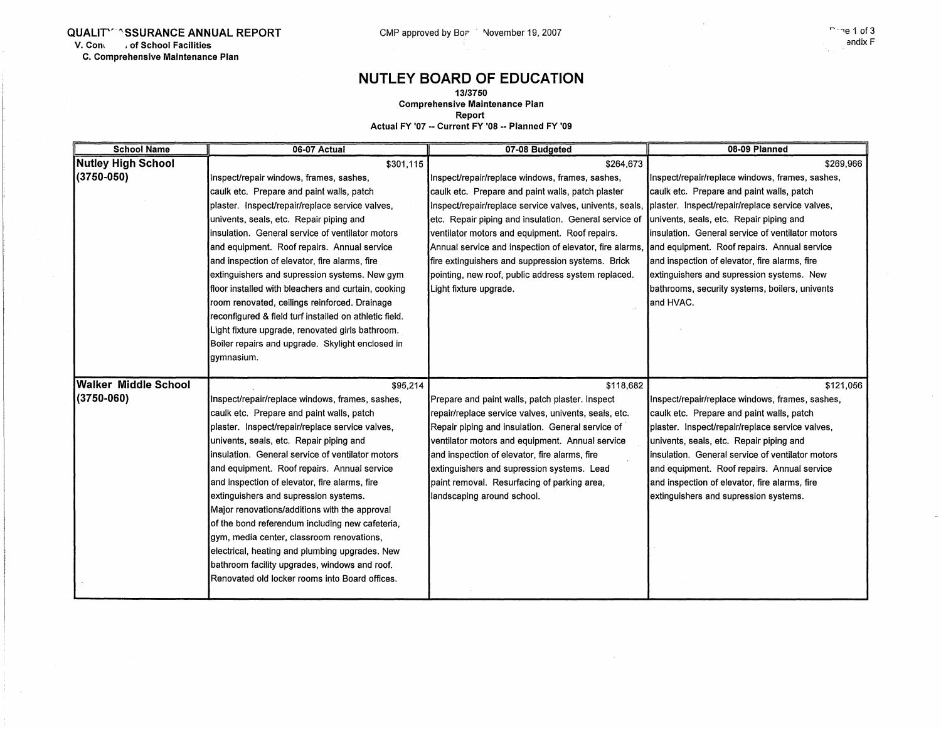**QUALIT'<sup>'</sup> SSURANCE ANNUAL REPORT** CMP approved by BoP November 19, 2007<br>
V. Contract of School Facilities **V. Com** , **of School Facilities C. Comprehensive Maintenance Plan** 

## **NUTLEY BOARD OF EDUCATION**

**13/3750 Comprehensive Maintenance Plan Report** 

**Actual FY '07** -- **Current FY '08** -- **Planned FY '09** 

| <b>School Name</b>          | 06-07 Actual                                           | 07-08 Budgeted                                          | 08-09 Planned                                     |
|-----------------------------|--------------------------------------------------------|---------------------------------------------------------|---------------------------------------------------|
| <b>Nutley High School</b>   | \$301,115                                              | \$264,673                                               | \$269,966                                         |
| (3750-050)                  | Inspect/repair windows, frames, sashes,                | Inspect/repair/replace windows, frames, sashes,         | Inspect/repair/replace windows, frames, sashes,   |
|                             | caulk etc. Prepare and paint walls, patch              | caulk etc. Prepare and paint walls, patch plaster       | caulk etc. Prepare and paint walls, patch         |
|                             | plaster. Inspect/repair/replace service valves,        | Inspect/repair/replace service valves, univents, seals, | plaster. Inspect/repair/replace service valves,   |
|                             | univents, seals, etc. Repair piping and                | etc. Repair piping and insulation. General service of   | univents, seals, etc. Repair piping and           |
|                             | insulation. General service of ventilator motors       | ventilator motors and equipment. Roof repairs.          | linsulation. General service of ventilator motors |
|                             | and equipment. Roof repairs. Annual service            | Annual service and inspection of elevator, fire alarms, | and equipment. Roof repairs. Annual service       |
|                             | and inspection of elevator, fire alarms, fire          | fire extinguishers and suppression systems. Brick       | and inspection of elevator, fire alarms, fire     |
|                             | extinguishers and supression systems. New gym          | pointing, new roof, public address system replaced.     | extinguishers and supression systems. New         |
|                             | floor installed with bleachers and curtain, cooking    | Light fixture upgrade.                                  | bathrooms, security systems, boilers, univents    |
|                             | room renovated, ceilings reinforced. Drainage          |                                                         | and HVAC.                                         |
|                             | reconfigured & field turf installed on athletic field. |                                                         |                                                   |
|                             | Light fixture upgrade, renovated girls bathroom.       |                                                         |                                                   |
|                             | Boiler repairs and upgrade. Skylight enclosed in       |                                                         |                                                   |
|                             | gymnasium.                                             |                                                         |                                                   |
|                             |                                                        |                                                         |                                                   |
| <b>Walker Middle School</b> | \$95,214                                               | \$118,682                                               | \$121,056                                         |
| $(3750 - 060)$              | Inspect/repair/replace windows, frames, sashes,        | Prepare and paint walls, patch plaster. Inspect         | Inspect/repair/replace windows, frames, sashes,   |
|                             | caulk etc. Prepare and paint walls, patch              | repair/replace service valves, univents, seals, etc.    | caulk etc. Prepare and paint walls, patch         |
|                             | plaster. Inspect/repair/replace service valves,        | Repair piping and insulation. General service of        | plaster. Inspect/repair/replace service valves,   |
|                             | univents, seals, etc. Repair piping and                | ventilator motors and equipment. Annual service         | univents, seals, etc. Repair piping and           |
|                             | linsulation. General service of ventilator motors      | and inspection of elevator, fire alarms, fire           | linsulation. General service of ventilator motors |
|                             | and equipment. Roof repairs. Annual service            | extinguishers and supression systems. Lead              | and equipment. Roof repairs. Annual service       |
|                             | and inspection of elevator, fire alarms, fire          | paint removal. Resurfacing of parking area,             | and inspection of elevator, fire alarms, fire     |
|                             | extinguishers and supression systems.                  | landscaping around school.                              | extinguishers and supression systems.             |
|                             | Major renovations/additions with the approval          |                                                         |                                                   |
|                             | of the bond referendum including new cafeteria,        |                                                         |                                                   |
|                             | gym, media center, classroom renovations,              |                                                         |                                                   |
|                             | electrical, heating and plumbing upgrades. New         |                                                         |                                                   |
|                             | bathroom facility upgrades, windows and roof.          |                                                         |                                                   |
|                             | Renovated old locker rooms into Board offices.         |                                                         |                                                   |
|                             |                                                        |                                                         |                                                   |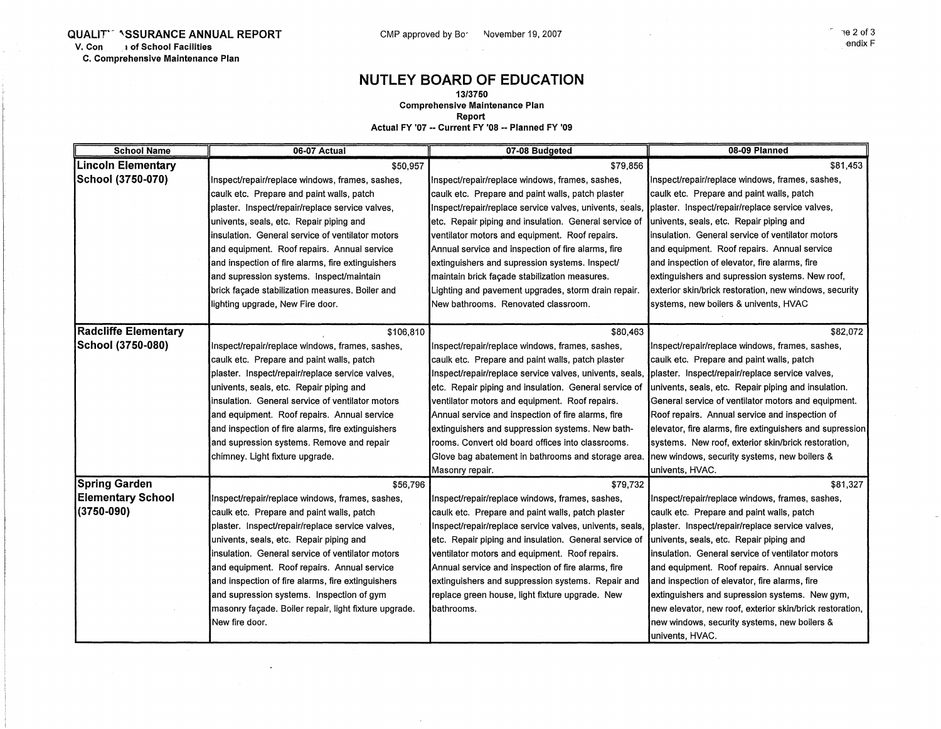## **NUTLEY BOARD OF EDUCATION**

**13/3750** 

**Comprehensive Maintenance Plan** 

**Report** 

**Actual FY '07 -- Current FY '08 -- Planned FY '09** 

| <b>School Name</b>        | 06-07 Actual                                          | 07-08 Budgeted                                          | 08-09 Planned                                            |
|---------------------------|-------------------------------------------------------|---------------------------------------------------------|----------------------------------------------------------|
| <b>Lincoln Elementary</b> | \$50,957                                              | \$79,856                                                | \$81,453                                                 |
| School (3750-070)         | Inspect/repair/replace windows, frames, sashes,       | Inspect/repair/replace windows, frames, sashes,         | Inspect/repair/replace windows, frames, sashes,          |
|                           | caulk etc. Prepare and paint walls, patch             | caulk etc. Prepare and paint walls, patch plaster       | caulk etc. Prepare and paint walls, patch                |
|                           | plaster. Inspect/repair/replace service valves,       | Inspect/repair/replace service valves, univents, seals, | plaster. Inspect/repair/replace service valves,          |
|                           | univents, seals, etc. Repair piping and               | etc. Repair piping and insulation. General service of   | univents, seals, etc. Repair piping and                  |
|                           | insulation. General service of ventilator motors      | ventilator motors and equipment. Roof repairs.          | insulation. General service of ventilator motors         |
|                           | and equipment. Roof repairs. Annual service           | Annual service and inspection of fire alarms, fire      | and equipment. Roof repairs. Annual service              |
|                           | and inspection of fire alarms, fire extinguishers     | extinguishers and supression systems. Inspect/          | and inspection of elevator, fire alarms, fire            |
|                           | and supression systems. Inspect/maintain              | maintain brick façade stabilization measures.           | extinguishers and supression systems. New roof,          |
|                           | brick façade stabilization measures. Boiler and       | Lighting and pavement upgrades, storm drain repair.     | exterior skin/brick restoration, new windows, security   |
|                           | lighting upgrade, New Fire door.                      | New bathrooms. Renovated classroom.                     | systems, new boilers & univents, HVAC                    |
|                           |                                                       |                                                         |                                                          |
| Radcliffe Elementary      | \$106,810                                             | \$80,463                                                | \$82,072                                                 |
| School (3750-080)         | Inspect/repair/replace windows, frames, sashes,       | Inspect/repair/replace windows, frames, sashes,         | Inspect/repair/replace windows, frames, sashes,          |
|                           | caulk etc. Prepare and paint walls, patch             | caulk etc. Prepare and paint walls, patch plaster       | caulk etc. Prepare and paint walls, patch                |
|                           | plaster. Inspect/repair/replace service valves,       | Inspect/repair/replace service valves, univents, seals, | plaster. Inspect/repair/replace service valves,          |
|                           | univents, seals, etc. Repair piping and               | etc. Repair piping and insulation. General service of   | univents, seals, etc. Repair piping and insulation.      |
|                           | insulation. General service of ventilator motors      | ventilator motors and equipment. Roof repairs.          | General service of ventilator motors and equipment.      |
|                           | and equipment. Roof repairs. Annual service           | Annual service and inspection of fire alarms, fire      | Roof repairs. Annual service and inspection of           |
|                           | and inspection of fire alarms, fire extinguishers     | extinguishers and suppression systems. New bath-        | elevator, fire alarms, fire extinguishers and supression |
|                           | and supression systems. Remove and repair             | rooms. Convert old board offices into classrooms.       | systems. New roof, exterior skin/brick restoration,      |
|                           | chimney. Light fixture upgrade.                       | Glove bag abatement in bathrooms and storage area.      | new windows, security systems, new boilers &             |
|                           |                                                       | Masonry repair.                                         | univents, HVAC.                                          |
| <b>Spring Garden</b>      | \$56,796                                              | \$79,732                                                | \$81,327                                                 |
| Elementary School         | Inspect/repair/replace windows, frames, sashes,       | Inspect/repair/replace windows, frames, sashes,         | Inspect/repair/replace windows, frames, sashes,          |
| $(3750 - 090)$            | caulk etc. Prepare and paint walls, patch             | caulk etc. Prepare and paint walls, patch plaster       | caulk etc. Prepare and paint walls, patch                |
|                           | plaster. Inspect/repair/replace service valves,       | Inspect/repair/replace service valves, univents, seals, | plaster. Inspect/repair/replace service valves,          |
|                           | univents, seals, etc. Repair piping and               | etc. Repair piping and insulation. General service of   | univents, seals, etc. Repair piping and                  |
|                           | insulation. General service of ventilator motors      | ventilator motors and equipment. Roof repairs.          | linsulation. General service of ventilator motors        |
|                           | and equipment. Roof repairs. Annual service           | Annual service and inspection of fire alarms, fire      | and equipment. Roof repairs. Annual service              |
|                           | and inspection of fire alarms, fire extinguishers     | extinguishers and suppression systems. Repair and       | and inspection of elevator, fire alarms, fire            |
|                           | and supression systems. Inspection of gym             | replace green house, light fixture upgrade. New         | extinguishers and supression systems. New gym,           |
|                           | masonry façade. Boiler repair, light fixture upgrade. | bathrooms.                                              | new elevator, new roof, exterior skin/brick restoration, |
|                           | New fire door.                                        |                                                         | new windows, security systems, new boilers &             |
|                           |                                                       |                                                         | univents, HVAC.                                          |

 $\sim$